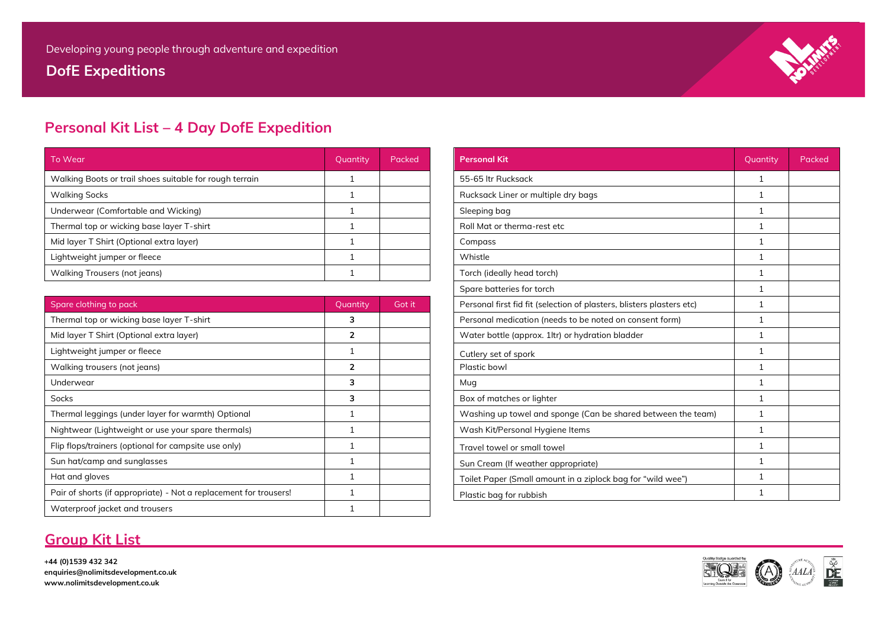**DofE Expeditions**



## **Personal Kit List – 4 Day DofE Expedition**

| To Wear                                                 | Quantity | Packed | <b>Personal Kit</b>                 | Quantity | Packed |
|---------------------------------------------------------|----------|--------|-------------------------------------|----------|--------|
| Walking Boots or trail shoes suitable for rough terrain |          |        | 55-65 ltr Rucksack                  |          |        |
| <b>Walking Socks</b>                                    |          |        | Rucksack Liner or multiple dry bags |          |        |
| Underwear (Comfortable and Wicking)                     |          |        | Sleeping bag                        |          |        |
| Thermal top or wicking base layer T-shirt               |          |        | Roll Mat or therma-rest etc         |          |        |
| Mid layer T Shirt (Optional extra layer)                |          |        | Compass                             |          |        |
| Lightweight jumper or fleece                            |          |        | Whistle                             |          |        |
| Walking Trousers (not jeans)                            |          |        | Torch (ideally head torch)          |          |        |

| Spare clothing to pack                                            | Quantity | Got it |
|-------------------------------------------------------------------|----------|--------|
| Thermal top or wicking base layer T-shirt                         | з        |        |
| Mid layer T Shirt (Optional extra layer)                          | 2        |        |
| Lightweight jumper or fleece                                      |          |        |
| Walking trousers (not jeans)                                      | 2        |        |
| Underwear                                                         | 3        |        |
| <b>Socks</b>                                                      | 3        |        |
| Thermal leggings (under layer for warmth) Optional                |          |        |
| Nightwear (Lightweight or use your spare thermals)                |          |        |
| Flip flops/trainers (optional for campsite use only)              |          |        |
| Sun hat/camp and sunglasses                                       |          |        |
| Hat and gloves                                                    |          |        |
| Pair of shorts (if appropriate) - Not a replacement for trousers! |          |        |
| Waterproof jacket and trousers                                    |          |        |
|                                                                   |          |        |

# Rucksack Liner or multiple dry bags 1 and 1 and 1 and 1 and 1 and 1 and 1 and 1 and 1 and 1 and 1 and 1 and 1 and 1 and 1 and 1 and 1 and 1 and 1 and 1 and 1 and 1 and 1 and 1 and 1 and 1 and 1 and 1 and 1 and 1 and 1 and The Roll Mat or therma-rest etc is a set of the shirt 1  $1$ Walking Trousers (not jeans) 1 Torch (ideally head torch) 1 Spare batteries for torch 1 and 1 and 1 and 1 and 1 and 1 and 1 and 1 and 1 and 1 and 1 and 1 and 1 and 1 and 1 and 1 and 1 and 1 and 1 and 1 and 1 and 1 and 1 and 1 and 1 and 1 and 1 and 1 and 1 and 1 and 1 and 1 and 1 an Personal first fid fit (selection of plasters, blisters plasters etc) 1 Thermal top or wickelayer or wickelayer Personal medication (needs to be noted on consent form) 1 Water bottle (approx. 1ltr) or hydration bladder **2008** 1 Box of matches or lighter 1 and 2 and 3 and 3 and 3 and 3 and 3 and 3 and 3 and 3 and 3 and 3 and 3 and 3 and 3 and 3 and 3 and 3 and 3 and 3 and 3 and 3 and 3 and 3 and 3 and 3 and 3 and 3 and 3 and 3 and 3 and 3 and 3 an Washing up towel and sponge (Can be shared between the team)  $\begin{vmatrix} 1 & 1 \end{vmatrix}$ Wash Kit/Personal Hygiene Items 1 Nightweight or use 1 Nightweight or use 1 Nightweight 2  $\begin{array}{ccc} \hbox{Travel to well} & \qquad & \qquad & \qquad & \qquad & \qquad & \qquad & \text{1} \qquad & \qquad & \text{1} \qquad & \qquad & \text{1} \qquad & \qquad & \text{1} \qquad & \text{1} \qquad & \text{1} \qquad & \text{1} \qquad & \text{1} \qquad & \text{1} \qquad & \text{1} \qquad & \text{1} \qquad & \text{1} \qquad & \text{1} \qquad & \text{1} \qquad & \text{1} \qquad & \text{1} \qquad & \text{1} \qquad & \text{1} \qquad & \text{1} \$ Sun Cream (If weather appropriate) 1 Sun Cream (If weather appropriate) Toilet Paper (Small amount in a ziplock bag for "wild wee") 1 Plastic bag for rubbish  $\begin{array}{ccc} 1 & 1 \end{array}$

### **Group Kit List**

**+44 (0)1539 432 342 enquiries@nolimitsdevelopment.co.uk www.nolimitsdevelopment.co.uk**